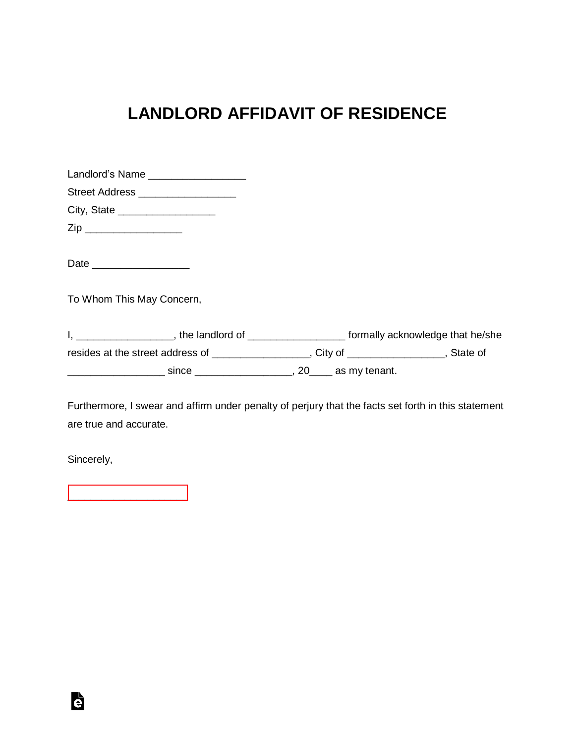## **LANDLORD AFFIDAVIT OF RESIDENCE**

| Landlord's Name ____________________                                                         |                                                         |  |
|----------------------------------------------------------------------------------------------|---------------------------------------------------------|--|
| Street Address ___________________                                                           |                                                         |  |
| City, State ___________________                                                              |                                                         |  |
| Zip ____________________                                                                     |                                                         |  |
| Date ____________________                                                                    |                                                         |  |
| To Whom This May Concern,                                                                    |                                                         |  |
| I, __________________, the landlord of ____________________ formally acknowledge that he/she |                                                         |  |
| resides at the street address of _________________, City of _____________, State of          |                                                         |  |
| <u>___________________________________</u>                                                   | since _________________________, 20______ as my tenant. |  |

Furthermore, I swear and affirm under penalty of perjury that the facts set forth in this statement are true and accurate.

Sincerely,

è

[\\_\\_\\_\\_\\_\\_\\_\\_\\_\\_\\_\\_\\_\\_\\_\\_\\_\\_\\_\\_\\_](https://esign.com)